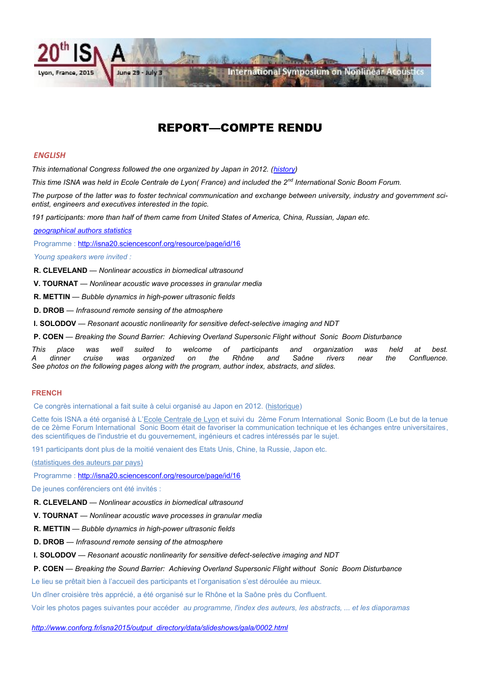

### REPORT—COMPTE RENDU

#### *ENGLISH*

*This international Congress followed the one organized by Japan in 2012. ([history\)](http://isna20.sciencesconf.org/resource/page/id/1)*

*This time ISNA was held in Ecole Centrale de Lyon( France) and included the 2nd International Sonic Boom Forum.*

*The purpose of the latter was to foster technical communication and exchange between university, industry and government scientist, engineers and executives interested in the topic.*

*191 participants: more than half of them came from United States of America, China, Russian, Japan etc.*

*[geographical authors statistics](https://intranet.sfa.asso.fr/archives/COURRIER-SFA/stats_geo-isna.pdf)*

Programme : [http://isna20.sciencesconf.org/resource/page/id/16](file:///C:/Users/evy/Documents/EAA-site-web_nuntius/nuntius/october/2ème%20Forum%20International%20%20Sonic%20Boom)

*Young speakers were invited :*

**R. CLEVELAND** — *Nonlinear acoustics in biomedical ultrasound*

**V. TOURNAT** — *Nonlinear acoustic wave processes in granular media*

**R. METTIN** — *Bubble dynamics in high-power ultrasonic fields*

**D. DROB** — *Infrasound remote sensing of the atmosphere*

**I. SOLODOV** — *Resonant acoustic nonlinearity for sensitive defect-selective imaging and NDT*

**P. COEN** — *Breaking the Sound Barrier: Achieving Overland Supersonic Flight without Sonic Boom Disturbance* 

*This place was well suited to welcome of participants and organization was held at best. A dinner cruise was organized on the Rhône and Saône rivers near the Confluence. See photos on the following pages along with the program, author index, abstracts, and slides.*

#### **FRENCH**

Ce congrès international a fait suite à celui organisé au Japon en 2012. ([historique\)](http://isna20.sciencesconf.org/resource/page/id/1)

Cette fois ISNA a été organisé à L'[Ecole Centrale de Lyon](http://www.ec-lyon.fr/en) et suivi du 2ème Forum International Sonic Boom (Le but de la tenue de ce 2ème Forum International Sonic Boom était de favoriser la communication technique et les échanges entre universitaires, des scientifiques de l'industrie et du gouvernement, ingénieurs et cadres intéressés par le sujet.

191 participants dont plus de la moitié venaient des Etats Unis, Chine, la Russie, Japon etc.

[\(statistiques des auteurs par pays\)](https://intranet.sfa.asso.fr/archives/COURRIER-SFA/stats_geo-isna.pdf)

Programme : [http://isna20.sciencesconf.org/resource/page/id/16](file:///C:/Users/evy/Documents/EAA-site-web_nuntius/nuntius/october/2ème%20Forum%20International%20%20Sonic%20Boom)

De jeunes conférenciers ont été invités :

**R. CLEVELAND** — *Nonlinear acoustics in biomedical ultrasound*

**V. TOURNAT** — *Nonlinear acoustic wave processes in granular media*

**R. METTIN** — *Bubble dynamics in high-power ultrasonic fields*

**D. DROB** — *Infrasound remote sensing of the atmosphere*

**I. SOLODOV** — *Resonant acoustic nonlinearity for sensitive defect-selective imaging and NDT*

**P. COEN** — *Breaking the Sound Barrier: Achieving Overland Supersonic Flight without Sonic Boom Disturbance* 

Le lieu se prêtait bien à l'accueil des participants et l'organisation s'est déroulée au mieux.

Un dîner croisière très apprécié, a été organisé sur le Rhône et la Saône près du Confluent.

Voir les photos pages suivantes pour accéder *au programme, l'index des auteurs, les abstracts, ... et les diaporamas* 

*[http://www.conforg.fr/isna2015/output\\_directory/data/slideshows/gala/0002.html](http://www.conforg.fr/isna2015/output_directory/data/slideshows/gala/0002.html)*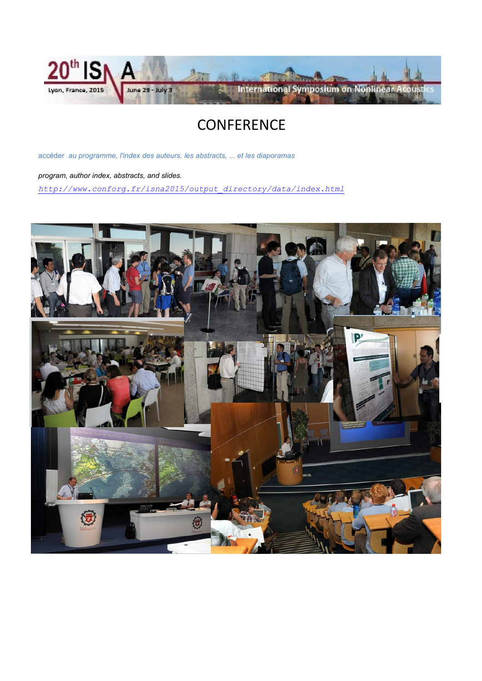

# **CONFERENCE**

accéder *au programme, l'index des auteurs, les abstracts, ... et les diaporamas* 

*program, author index, abstracts, and slides.*

*[http://www.conforg.fr/isna2015/output\\_directory/data/index.html](http://www.conforg.fr/isna2015/output_directory/data/index.html)*